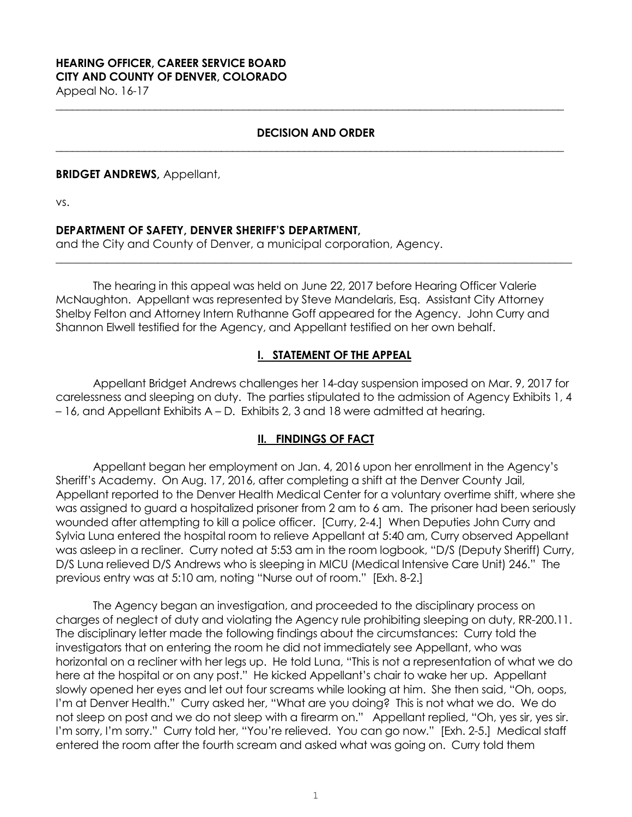# **HEARING OFFICER, CAREER SERVICE BOARD CITY AND COUNTY OF DENVER, COLORADO**

Appeal No. 16-17 **\_\_\_\_\_\_\_\_\_\_\_\_\_\_\_\_\_\_\_\_\_\_\_\_\_\_\_\_\_\_\_\_\_\_\_\_\_\_\_\_\_\_\_\_\_\_\_\_\_\_\_\_\_\_\_\_\_\_\_\_\_\_\_\_\_\_\_\_\_\_\_\_\_\_\_\_\_\_\_\_\_\_\_\_\_\_\_\_\_\_\_\_**

### **DECISION AND ORDER \_\_\_\_\_\_\_\_\_\_\_\_\_\_\_\_\_\_\_\_\_\_\_\_\_\_\_\_\_\_\_\_\_\_\_\_\_\_\_\_\_\_\_\_\_\_\_\_\_\_\_\_\_\_\_\_\_\_\_\_\_\_\_\_\_\_\_\_\_\_\_\_\_\_\_\_\_\_\_\_\_\_\_\_\_\_\_\_\_\_\_\_**

### **BRIDGET ANDREWS,** Appellant,

vs.

## **DEPARTMENT OF SAFETY, DENVER SHERIFF'S DEPARTMENT,**

and the City and County of Denver, a municipal corporation, Agency.

The hearing in this appeal was held on June 22, 2017 before Hearing Officer Valerie McNaughton. Appellant was represented by Steve Mandelaris, Esq. Assistant City Attorney Shelby Felton and Attorney Intern Ruthanne Goff appeared for the Agency. John Curry and Shannon Elwell testified for the Agency, and Appellant testified on her own behalf.

**\_\_\_\_\_\_\_\_\_\_\_\_\_\_\_\_\_\_\_\_\_\_\_\_\_\_\_\_\_\_\_\_\_\_\_\_\_\_\_\_\_\_\_\_\_\_\_\_\_\_\_\_\_\_\_\_\_\_\_\_\_\_\_\_\_\_\_\_\_\_\_\_\_\_\_\_\_\_\_\_\_\_\_\_\_\_\_\_\_\_\_**

## **I. STATEMENT OF THE APPEAL**

Appellant Bridget Andrews challenges her 14-day suspension imposed on Mar. 9, 2017 for carelessness and sleeping on duty. The parties stipulated to the admission of Agency Exhibits 1, 4 – 16, and Appellant Exhibits A – D. Exhibits 2, 3 and 18 were admitted at hearing.

## **II. FINDINGS OF FACT**

Appellant began her employment on Jan. 4, 2016 upon her enrollment in the Agency's Sheriff's Academy. On Aug. 17, 2016, after completing a shift at the Denver County Jail, Appellant reported to the Denver Health Medical Center for a voluntary overtime shift, where she was assigned to guard a hospitalized prisoner from 2 am to 6 am. The prisoner had been seriously wounded after attempting to kill a police officer. [Curry, 2-4.] When Deputies John Curry and Sylvia Luna entered the hospital room to relieve Appellant at 5:40 am, Curry observed Appellant was asleep in a recliner. Curry noted at 5:53 am in the room logbook, "D/S (Deputy Sheriff) Curry, D/S Luna relieved D/S Andrews who is sleeping in MICU (Medical Intensive Care Unit) 246." The previous entry was at 5:10 am, noting "Nurse out of room." [Exh. 8-2.]

The Agency began an investigation, and proceeded to the disciplinary process on charges of neglect of duty and violating the Agency rule prohibiting sleeping on duty, RR-200.11. The disciplinary letter made the following findings about the circumstances: Curry told the investigators that on entering the room he did not immediately see Appellant, who was horizontal on a recliner with her legs up. He told Luna, "This is not a representation of what we do here at the hospital or on any post." He kicked Appellant's chair to wake her up. Appellant slowly opened her eyes and let out four screams while looking at him. She then said, "Oh, oops, I'm at Denver Health." Curry asked her, "What are you doing? This is not what we do. We do not sleep on post and we do not sleep with a firearm on." Appellant replied, "Oh, yes sir, yes sir. I'm sorry, I'm sorry." Curry told her, "You're relieved. You can go now." [Exh. 2-5.] Medical staff entered the room after the fourth scream and asked what was going on. Curry told them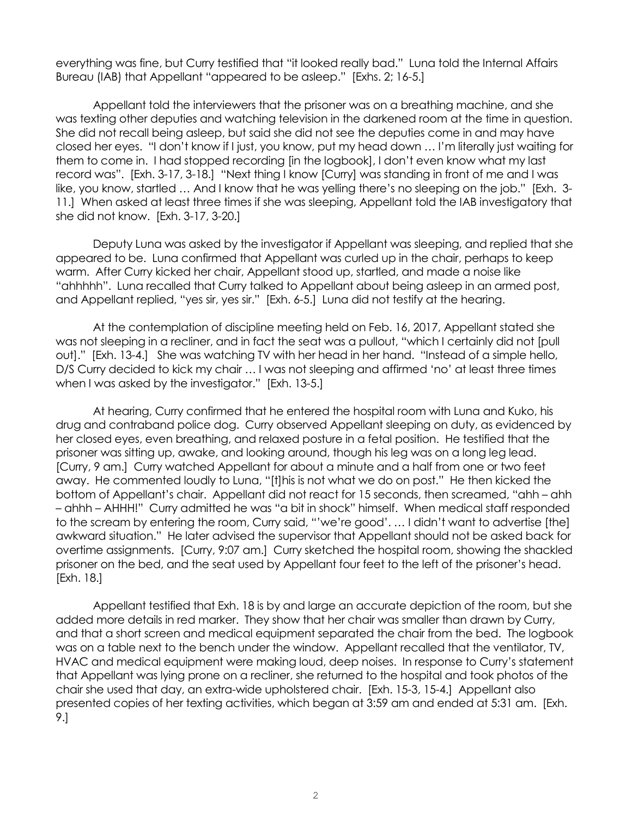everything was fine, but Curry testified that "it looked really bad." Luna told the Internal Affairs Bureau (IAB) that Appellant "appeared to be asleep." [Exhs. 2; 16-5.]

Appellant told the interviewers that the prisoner was on a breathing machine, and she was texting other deputies and watching television in the darkened room at the time in question. She did not recall being asleep, but said she did not see the deputies come in and may have closed her eyes. "I don't know if I just, you know, put my head down … I'm literally just waiting for them to come in. I had stopped recording [in the logbook], I don't even know what my last record was". [Exh. 3-17, 3-18.] "Next thing I know [Curry] was standing in front of me and I was like, you know, startled … And I know that he was yelling there's no sleeping on the job." [Exh. 3- 11.] When asked at least three times if she was sleeping, Appellant told the IAB investigatory that she did not know. [Exh. 3-17, 3-20.]

Deputy Luna was asked by the investigator if Appellant was sleeping, and replied that she appeared to be. Luna confirmed that Appellant was curled up in the chair, perhaps to keep warm. After Curry kicked her chair, Appellant stood up, startled, and made a noise like "ahhhhh". Luna recalled that Curry talked to Appellant about being asleep in an armed post, and Appellant replied, "yes sir, yes sir." [Exh. 6-5.] Luna did not testify at the hearing.

At the contemplation of discipline meeting held on Feb. 16, 2017, Appellant stated she was not sleeping in a recliner, and in fact the seat was a pullout, "which I certainly did not [pull out]." [Exh. 13-4.] She was watching TV with her head in her hand. "Instead of a simple hello, D/S Curry decided to kick my chair … I was not sleeping and affirmed 'no' at least three times when I was asked by the investigator." [Exh. 13-5.]

At hearing, Curry confirmed that he entered the hospital room with Luna and Kuko, his drug and contraband police dog. Curry observed Appellant sleeping on duty, as evidenced by her closed eyes, even breathing, and relaxed posture in a fetal position. He testified that the prisoner was sitting up, awake, and looking around, though his leg was on a long leg lead. [Curry, 9 am.] Curry watched Appellant for about a minute and a half from one or two feet away. He commented loudly to Luna, "[t]his is not what we do on post." He then kicked the bottom of Appellant's chair. Appellant did not react for 15 seconds, then screamed, "ahh – ahh – ahhh – AHHH!" Curry admitted he was "a bit in shock" himself. When medical staff responded to the scream by entering the room, Curry said, "'we're good'. … I didn't want to advertise [the] awkward situation." He later advised the supervisor that Appellant should not be asked back for overtime assignments. [Curry, 9:07 am.] Curry sketched the hospital room, showing the shackled prisoner on the bed, and the seat used by Appellant four feet to the left of the prisoner's head. [Exh. 18.]

Appellant testified that Exh. 18 is by and large an accurate depiction of the room, but she added more details in red marker. They show that her chair was smaller than drawn by Curry, and that a short screen and medical equipment separated the chair from the bed. The logbook was on a table next to the bench under the window. Appellant recalled that the ventilator, TV, HVAC and medical equipment were making loud, deep noises. In response to Curry's statement that Appellant was lying prone on a recliner, she returned to the hospital and took photos of the chair she used that day, an extra-wide upholstered chair. [Exh. 15-3, 15-4.] Appellant also presented copies of her texting activities, which began at 3:59 am and ended at 5:31 am. [Exh. 9.]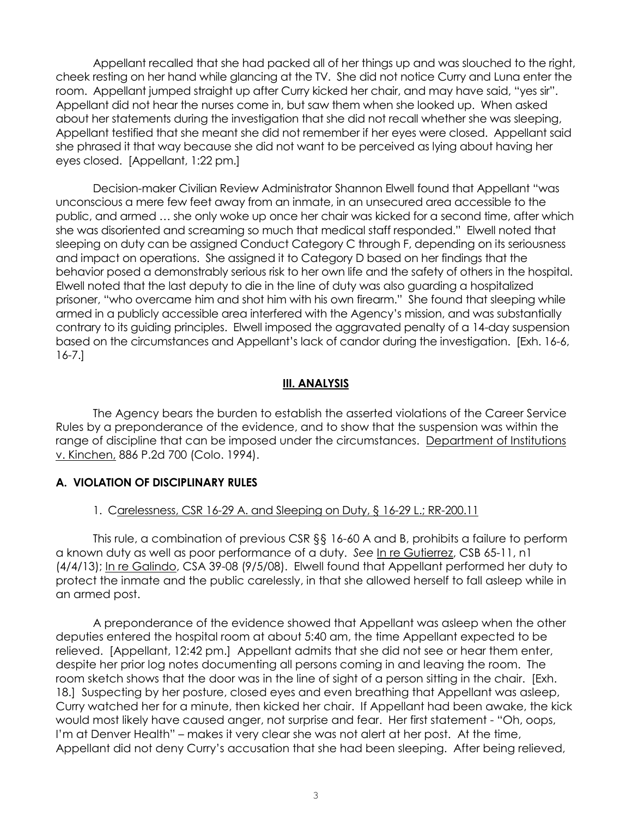Appellant recalled that she had packed all of her things up and was slouched to the right, cheek resting on her hand while glancing at the TV. She did not notice Curry and Luna enter the room. Appellant jumped straight up after Curry kicked her chair, and may have said, "yes sir". Appellant did not hear the nurses come in, but saw them when she looked up. When asked about her statements during the investigation that she did not recall whether she was sleeping, Appellant testified that she meant she did not remember if her eyes were closed. Appellant said she phrased it that way because she did not want to be perceived as lying about having her eyes closed. [Appellant, 1:22 pm.]

Decision-maker Civilian Review Administrator Shannon Elwell found that Appellant "was unconscious a mere few feet away from an inmate, in an unsecured area accessible to the public, and armed … she only woke up once her chair was kicked for a second time, after which she was disoriented and screaming so much that medical staff responded." Elwell noted that sleeping on duty can be assigned Conduct Category C through F, depending on its seriousness and impact on operations. She assigned it to Category D based on her findings that the behavior posed a demonstrably serious risk to her own life and the safety of others in the hospital. Elwell noted that the last deputy to die in the line of duty was also guarding a hospitalized prisoner, "who overcame him and shot him with his own firearm." She found that sleeping while armed in a publicly accessible area interfered with the Agency's mission, and was substantially contrary to its guiding principles. Elwell imposed the aggravated penalty of a 14-day suspension based on the circumstances and Appellant's lack of candor during the investigation. [Exh. 16-6, 16-7.]

### **III. ANALYSIS**

The Agency bears the burden to establish the asserted violations of the Career Service Rules by a preponderance of the evidence, and to show that the suspension was within the range of discipline that can be imposed under the circumstances. Department of Institutions v. Kinchen, 886 P.2d 700 (Colo. 1994).

## **A. VIOLATION OF DISCIPLINARY RULES**

#### 1. Carelessness, CSR 16-29 A. and Sleeping on Duty, § 16-29 L.; RR-200.11

This rule, a combination of previous CSR §§ 16-60 A and B, prohibits a failure to perform a known duty as well as poor performance of a duty. *See* [In re Gutierrez,](https://www.denvergov.org/content/dam/denvergov/Portals/671/documents/Hearings/Gutierrez_Silver_65-11_Decision.pdf) CSB 65-11, n1 (4/4/13); In re Galindo, CSA 39-08 (9/5/08). Elwell found that Appellant performed her duty to protect the inmate and the public carelessly, in that she allowed herself to fall asleep while in an armed post.

A preponderance of the evidence showed that Appellant was asleep when the other deputies entered the hospital room at about 5:40 am, the time Appellant expected to be relieved. [Appellant, 12:42 pm.] Appellant admits that she did not see or hear them enter, despite her prior log notes documenting all persons coming in and leaving the room. The room sketch shows that the door was in the line of sight of a person sitting in the chair. [Exh. 18.] Suspecting by her posture, closed eyes and even breathing that Appellant was asleep, Curry watched her for a minute, then kicked her chair. If Appellant had been awake, the kick would most likely have caused anger, not surprise and fear. Her first statement - "Oh, oops, I'm at Denver Health" – makes it very clear she was not alert at her post. At the time, Appellant did not deny Curry's accusation that she had been sleeping. After being relieved,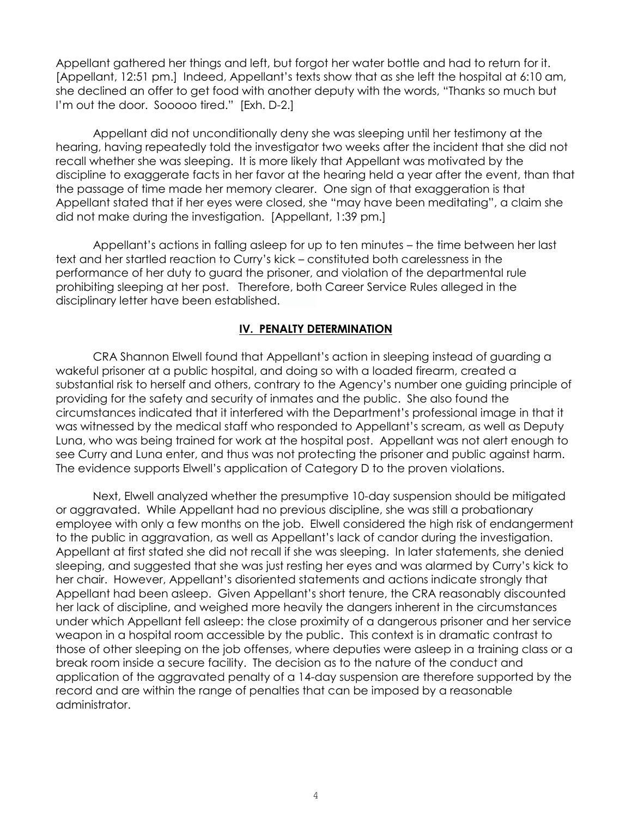Appellant gathered her things and left, but forgot her water bottle and had to return for it. [Appellant, 12:51 pm.] Indeed, Appellant's texts show that as she left the hospital at 6:10 am, she declined an offer to get food with another deputy with the words, "Thanks so much but I'm out the door. Sooooo tired." [Exh. D-2.]

Appellant did not unconditionally deny she was sleeping until her testimony at the hearing, having repeatedly told the investigator two weeks after the incident that she did not recall whether she was sleeping. It is more likely that Appellant was motivated by the discipline to exaggerate facts in her favor at the hearing held a year after the event, than that the passage of time made her memory clearer. One sign of that exaggeration is that Appellant stated that if her eyes were closed, she "may have been meditating", a claim she did not make during the investigation. [Appellant, 1:39 pm.]

Appellant's actions in falling asleep for up to ten minutes – the time between her last text and her startled reaction to Curry's kick – constituted both carelessness in the performance of her duty to guard the prisoner, and violation of the departmental rule prohibiting sleeping at her post. Therefore, both Career Service Rules alleged in the disciplinary letter have been established.

### **IV. PENALTY DETERMINATION**

CRA Shannon Elwell found that Appellant's action in sleeping instead of guarding a wakeful prisoner at a public hospital, and doing so with a loaded firearm, created a substantial risk to herself and others, contrary to the Agency's number one guiding principle of providing for the safety and security of inmates and the public. She also found the circumstances indicated that it interfered with the Department's professional image in that it was witnessed by the medical staff who responded to Appellant's scream, as well as Deputy Luna, who was being trained for work at the hospital post. Appellant was not alert enough to see Curry and Luna enter, and thus was not protecting the prisoner and public against harm. The evidence supports Elwell's application of Category D to the proven violations.

Next, Elwell analyzed whether the presumptive 10-day suspension should be mitigated or aggravated. While Appellant had no previous discipline, she was still a probationary employee with only a few months on the job. Elwell considered the high risk of endangerment to the public in aggravation, as well as Appellant's lack of candor during the investigation. Appellant at first stated she did not recall if she was sleeping. In later statements, she denied sleeping, and suggested that she was just resting her eyes and was alarmed by Curry's kick to her chair. However, Appellant's disoriented statements and actions indicate strongly that Appellant had been asleep. Given Appellant's short tenure, the CRA reasonably discounted her lack of discipline, and weighed more heavily the dangers inherent in the circumstances under which Appellant fell asleep: the close proximity of a dangerous prisoner and her service weapon in a hospital room accessible by the public. This context is in dramatic contrast to those of other sleeping on the job offenses, where deputies were asleep in a training class or a break room inside a secure facility. The decision as to the nature of the conduct and application of the aggravated penalty of a 14-day suspension are therefore supported by the record and are within the range of penalties that can be imposed by a reasonable administrator.